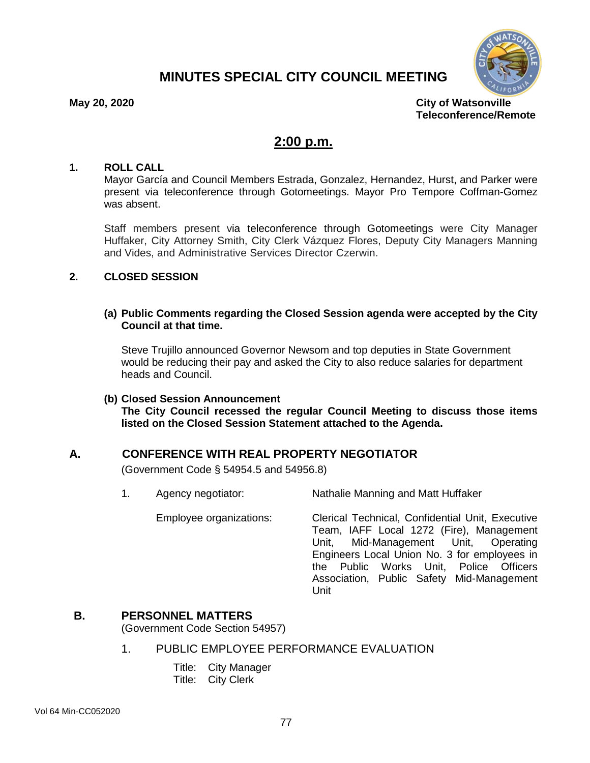# **MINUTES SPECIAL CITY COUNCIL MEETING**



**May 20, 2020 City of Watsonville Teleconference/Remote**

# **2:00 p.m.**

#### **1. ROLL CALL**

Mayor García and Council Members Estrada, Gonzalez, Hernandez, Hurst, and Parker were present via teleconference through Gotomeetings. Mayor Pro Tempore Coffman-Gomez was absent.

Staff members present via teleconference through Gotomeetings were City Manager Huffaker, City Attorney Smith, City Clerk Vázquez Flores, Deputy City Managers Manning and Vides, and Administrative Services Director Czerwin.

# **2. CLOSED SESSION**

### **(a) Public Comments regarding the Closed Session agenda were accepted by the City Council at that time.**

Steve Trujillo announced Governor Newsom and top deputies in State Government would be reducing their pay and asked the City to also reduce salaries for department heads and Council.

#### **(b) Closed Session Announcement**

**The City Council recessed the regular Council Meeting to discuss those items listed on the Closed Session Statement attached to the Agenda.**

# **A. CONFERENCE WITH REAL PROPERTY NEGOTIATOR**

(Government Code § 54954.5 and 54956.8)

1. Agency negotiator: Nathalie Manning and Matt Huffaker

Employee organizations: Clerical Technical, Confidential Unit, Executive Team, IAFF Local 1272 (Fire), Management Unit, Mid-Management Unit, Operating Engineers Local Union No. 3 for employees in the Public Works Unit, Police Officers Association, Public Safety Mid-Management Unit

# **B. PERSONNEL MATTERS**

(Government Code Section 54957)

- 1. PUBLIC EMPLOYEE PERFORMANCE EVALUATION
	- Title: City Manager
	- Title: City Clerk